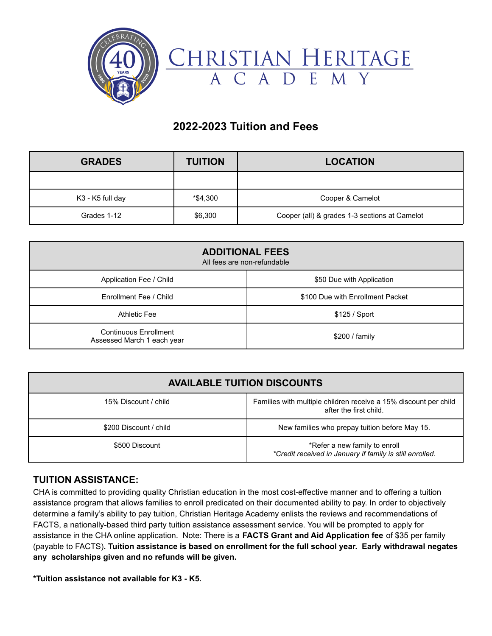

## **2022-2023 Tuition and Fees**

| <b>GRADES</b>    | <b>TUITION</b> | <b>LOCATION</b>                               |
|------------------|----------------|-----------------------------------------------|
|                  |                |                                               |
| K3 - K5 full day | *\$4,300       | Cooper & Camelot                              |
| Grades 1-12      | \$6,300        | Cooper (all) & grades 1-3 sections at Camelot |

| <b>ADDITIONAL FEES</b><br>All fees are non-refundable |                                  |  |
|-------------------------------------------------------|----------------------------------|--|
| Application Fee / Child                               | \$50 Due with Application        |  |
| Enrollment Fee / Child                                | \$100 Due with Enrollment Packet |  |
| Athletic Fee                                          | \$125 / Sport                    |  |
| Continuous Enrollment<br>Assessed March 1 each year   | \$200 / family                   |  |

| <b>AVAILABLE TUITION DISCOUNTS</b> |                                                                                            |  |
|------------------------------------|--------------------------------------------------------------------------------------------|--|
| 15% Discount / child               | Families with multiple children receive a 15% discount per child<br>after the first child. |  |
| \$200 Discount / child             | New families who prepay tuition before May 15.                                             |  |
| \$500 Discount                     | *Refer a new family to enroll<br>*Credit received in January if family is still enrolled.  |  |

## **TUITION ASSISTANCE:**

CHA is committed to providing quality Christian education in the most cost-effective manner and to offering a tuition assistance program that allows families to enroll predicated on their documented ability to pay. In order to objectively determine a family's ability to pay tuition, Christian Heritage Academy enlists the reviews and recommendations of FACTS, a nationally-based third party tuition assistance assessment service. You will be prompted to apply for assistance in the CHA online application. Note: There is a **FACTS Grant and Aid Application fee** of \$35 per family (payable to FACTS)**. Tuition assistance is based on enrollment for the full school year. Early withdrawal negates any scholarships given and no refunds will be given.**

**\*Tuition assistance not available for K3 - K5.**